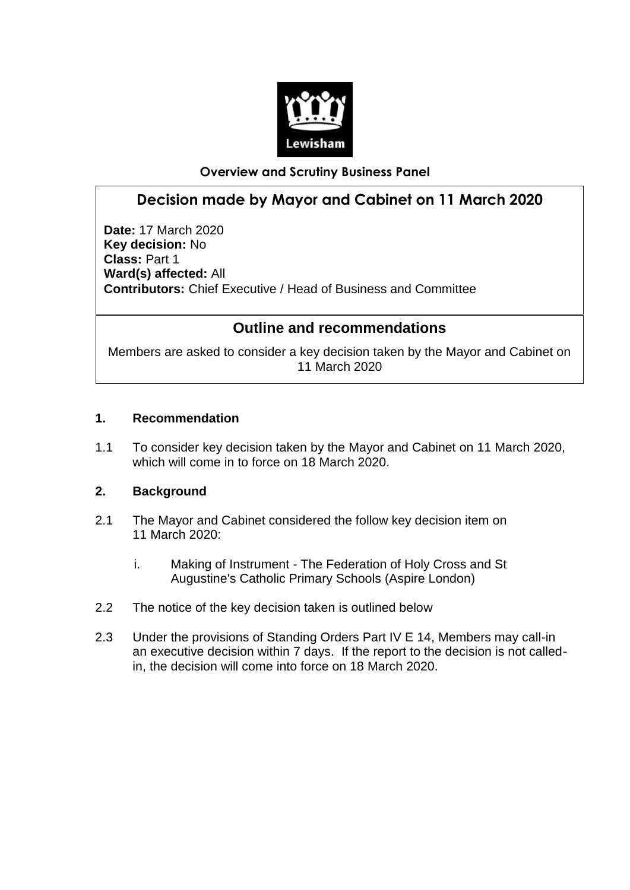

## **Overview and Scrutiny Business Panel**

# **Decision made by Mayor and Cabinet on 11 March 2020**

**Date:** 17 March 2020 **Key decision:** No **Class:** Part 1 **Ward(s) affected:** All **Contributors:** Chief Executive / Head of Business and Committee

## **Outline and recommendations**

Members are asked to consider a key decision taken by the Mayor and Cabinet on 11 March 2020

### **1. Recommendation**

1.1 To consider key decision taken by the Mayor and Cabinet on 11 March 2020, which will come in to force on 18 March 2020.

#### **2. Background**

- 2.1 The Mayor and Cabinet considered the follow key decision item on 11 March 2020:
	- i. Making of Instrument The Federation of Holy Cross and St Augustine's Catholic Primary Schools (Aspire London)
- 2.2 The notice of the key decision taken is outlined below
- 2.3 Under the provisions of Standing Orders Part IV E 14, Members may call-in an executive decision within 7 days. If the report to the decision is not calledin, the decision will come into force on 18 March 2020.